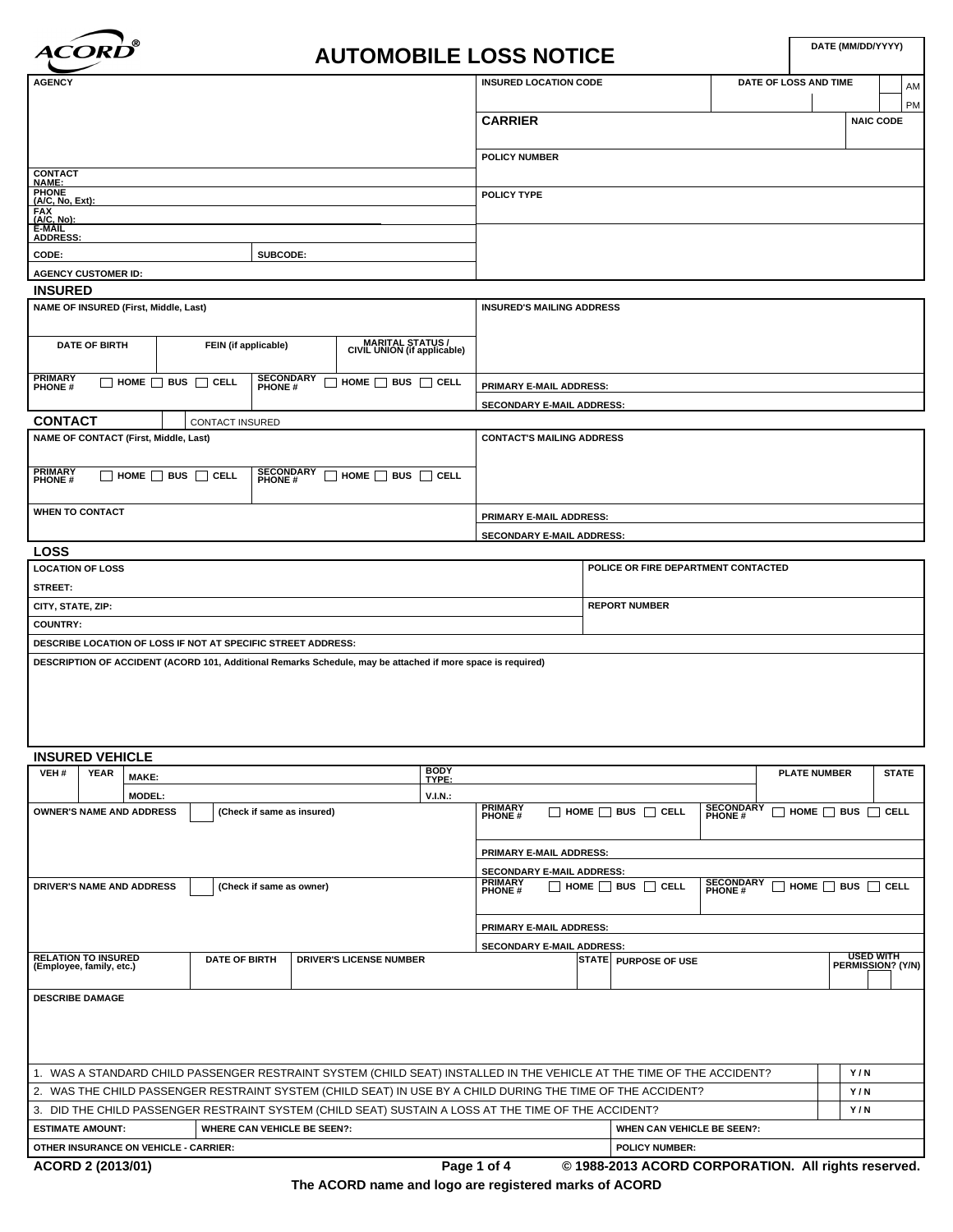

# **AUTOMOBILE LOSS NOTICE**

| <b>AGENCY</b>                                                                                                                                 |                                    |                             |                                                 | <b>INSURED LOCATION CODE</b>     |                                     | DATE OF LOSS AND TIME | AM               |
|-----------------------------------------------------------------------------------------------------------------------------------------------|------------------------------------|-----------------------------|-------------------------------------------------|----------------------------------|-------------------------------------|-----------------------|------------------|
|                                                                                                                                               |                                    |                             |                                                 |                                  |                                     |                       | <b>PM</b>        |
|                                                                                                                                               |                                    |                             |                                                 | <b>CARRIER</b>                   |                                     |                       | <b>NAIC CODE</b> |
|                                                                                                                                               |                                    |                             |                                                 | <b>POLICY NUMBER</b>             |                                     |                       |                  |
| <b>CONTACT</b><br>NAME:                                                                                                                       |                                    |                             |                                                 |                                  |                                     |                       |                  |
| PHONE<br>$(A/C, No, Ext)$ :                                                                                                                   |                                    |                             |                                                 | POLICY TYPE                      |                                     |                       |                  |
| <b>FAX</b><br>(A/C, No):                                                                                                                      |                                    |                             |                                                 |                                  |                                     |                       |                  |
| E-MAIL<br><b>ADDRESS:</b>                                                                                                                     |                                    |                             |                                                 |                                  |                                     |                       |                  |
| CODE:                                                                                                                                         |                                    | SUBCODE:                    |                                                 |                                  |                                     |                       |                  |
| <b>AGENCY CUSTOMER ID:</b>                                                                                                                    |                                    |                             |                                                 |                                  |                                     |                       |                  |
| <b>INSURED</b>                                                                                                                                |                                    |                             |                                                 |                                  |                                     |                       |                  |
| NAME OF INSURED (First, Middle, Last)                                                                                                         |                                    |                             |                                                 | <b>INSURED'S MAILING ADDRESS</b> |                                     |                       |                  |
| <b>DATE OF BIRTH</b>                                                                                                                          | FEIN (if applicable)               |                             | MARITAL STATUS /<br>CIVIL UNION (if applicable) |                                  |                                     |                       |                  |
| <b>PRIMARY</b><br><b>SECONDARY</b><br>PHONE #<br>$\Box$ HOME $\Box$ BUS $\Box$<br>CELL<br>$\Box$ HOME $\Box$ BUS $\Box$ CELL<br><b>PHONE#</b> |                                    |                             |                                                 | PRIMARY E-MAIL ADDRESS:          |                                     |                       |                  |
|                                                                                                                                               |                                    |                             |                                                 | <b>SECONDARY E-MAIL ADDRESS:</b> |                                     |                       |                  |
| <b>CONTACT</b>                                                                                                                                | CONTACT INSURED                    |                             |                                                 |                                  |                                     |                       |                  |
| <b>NAME OF CONTACT (First, Middle, Last)</b>                                                                                                  |                                    |                             |                                                 | <b>CONTACT'S MAILING ADDRESS</b> |                                     |                       |                  |
| <b>PRIMARY</b><br><b>PHONE#</b>                                                                                                               | $\Box$ HOME $\Box$ BUS $\Box$ CELL | <b>SECONDARY</b><br>PHONE # | $\Box$ HOME $\Box$ BUS $\Box$ CELL              |                                  |                                     |                       |                  |
| <b>WHEN TO CONTACT</b>                                                                                                                        |                                    |                             |                                                 | PRIMARY E-MAIL ADDRESS:          |                                     |                       |                  |
|                                                                                                                                               |                                    |                             |                                                 | SECONDARY E-MAIL ADDRESS:        |                                     |                       |                  |
| <b>LOSS</b>                                                                                                                                   |                                    |                             |                                                 |                                  |                                     |                       |                  |
| <b>LOCATION OF LOSS</b>                                                                                                                       |                                    |                             |                                                 |                                  | POLICE OR FIRE DEPARTMENT CONTACTED |                       |                  |
| STREET:                                                                                                                                       |                                    |                             |                                                 |                                  |                                     |                       |                  |
| CITY, STATE, ZIP:                                                                                                                             |                                    |                             |                                                 |                                  | <b>REPORT NUMBER</b>                |                       |                  |
| <b>COUNTRY:</b>                                                                                                                               |                                    |                             |                                                 |                                  |                                     |                       |                  |
| <b>DESCRIBE LOCATION OF LOSS IF NOT AT SPECIFIC STREET ADDRESS:</b>                                                                           |                                    |                             |                                                 |                                  |                                     |                       |                  |

**DESCRIPTION OF ACCIDENT (ACORD 101, Additional Remarks Schedule, may be attached if more space is required)**

# **INSURED VEHICLE**

| VEH#                                                                                                        | <b>YEAR</b> | MAKE:                                        |                      |                                                                                                                       | <b>BODY</b><br>TYPE:                                                                                                                       |                                  |                                  |                                    |                                                     |                                    | <b>PLATE NUMBER</b> |     | <b>STATE</b>                          |  |
|-------------------------------------------------------------------------------------------------------------|-------------|----------------------------------------------|----------------------|-----------------------------------------------------------------------------------------------------------------------|--------------------------------------------------------------------------------------------------------------------------------------------|----------------------------------|----------------------------------|------------------------------------|-----------------------------------------------------|------------------------------------|---------------------|-----|---------------------------------------|--|
|                                                                                                             |             | <b>MODEL:</b>                                |                      |                                                                                                                       | $V.I.N.$ :                                                                                                                                 |                                  |                                  |                                    |                                                     |                                    |                     |     |                                       |  |
| <b>OWNER'S NAME AND ADDRESS</b><br>(Check if same as insured)                                               |             |                                              |                      |                                                                                                                       | <b>PRIMARY</b><br>PHONE#                                                                                                                   |                                  |                                  | $\Box$ home $\Box$ bus $\Box$ cell | <b>SECONDARY</b><br>PHONE #                         | $\Box$ HOME $\Box$ BUS $\Box$ CELL |                     |     |                                       |  |
|                                                                                                             |             |                                              |                      |                                                                                                                       |                                                                                                                                            | <b>PRIMARY E-MAIL ADDRESS:</b>   |                                  |                                    |                                                     |                                    |                     |     |                                       |  |
|                                                                                                             |             |                                              |                      |                                                                                                                       |                                                                                                                                            | <b>SECONDARY E-MAIL ADDRESS:</b> |                                  |                                    |                                                     |                                    |                     |     |                                       |  |
| <b>DRIVER'S NAME AND ADDRESS</b><br>(Check if same as owner)                                                |             |                                              |                      |                                                                                                                       | <b>SECONDARY</b><br>PHONE #<br><b>PRIMARY</b><br>$\Box$ HOME $\Box$ BUS $\Box$ CELL<br>$\Box$ HOME $\Box$ BUS $\Box$ CELL<br><b>PHONE#</b> |                                  |                                  |                                    |                                                     |                                    |                     |     |                                       |  |
|                                                                                                             |             |                                              |                      |                                                                                                                       |                                                                                                                                            | <b>PRIMARY E-MAIL ADDRESS:</b>   |                                  |                                    |                                                     |                                    |                     |     |                                       |  |
|                                                                                                             |             |                                              |                      |                                                                                                                       |                                                                                                                                            |                                  | <b>SECONDARY E-MAIL ADDRESS:</b> |                                    |                                                     |                                    |                     |     |                                       |  |
| <b>RELATION TO INSURED</b><br>(Employee, family, etc.)                                                      |             |                                              | <b>DATE OF BIRTH</b> | <b>DRIVER'S LICENSE NUMBER</b>                                                                                        |                                                                                                                                            |                                  |                                  |                                    | <b>STATE PURPOSE OF USE</b>                         |                                    |                     |     | <b>USED WITH</b><br>PERMISSION? (Y/N) |  |
| <b>DESCRIBE DAMAGE</b>                                                                                      |             |                                              |                      |                                                                                                                       |                                                                                                                                            |                                  |                                  |                                    |                                                     |                                    |                     |     |                                       |  |
|                                                                                                             |             |                                              |                      | 1. WAS A STANDARD CHILD PASSENGER RESTRAINT SYSTEM (CHILD SEAT) INSTALLED IN THE VEHICLE AT THE TIME OF THE ACCIDENT? |                                                                                                                                            |                                  |                                  |                                    |                                                     |                                    |                     | Y/N |                                       |  |
| 2. WAS THE CHILD PASSENGER RESTRAINT SYSTEM (CHILD SEAT) IN USE BY A CHILD DURING THE TIME OF THE ACCIDENT? |             |                                              |                      |                                                                                                                       |                                                                                                                                            |                                  |                                  |                                    |                                                     |                                    | Y/N                 |     |                                       |  |
|                                                                                                             |             |                                              |                      | 3. DID THE CHILD PASSENGER RESTRAINT SYSTEM (CHILD SEAT) SUSTAIN A LOSS AT THE TIME OF THE ACCIDENT?                  |                                                                                                                                            |                                  |                                  |                                    |                                                     |                                    |                     | Y/N |                                       |  |
| <b>ESTIMATE AMOUNT:</b><br><b>WHERE CAN VEHICLE BE SEEN?:</b><br><b>WHEN CAN VEHICLE BE SEEN?:</b>          |             |                                              |                      |                                                                                                                       |                                                                                                                                            |                                  |                                  |                                    |                                                     |                                    |                     |     |                                       |  |
|                                                                                                             |             | <b>OTHER INSURANCE ON VEHICLE - CARRIER:</b> |                      |                                                                                                                       |                                                                                                                                            |                                  |                                  |                                    | <b>POLICY NUMBER:</b>                               |                                    |                     |     |                                       |  |
| ACORD 2 (2013/01)                                                                                           |             |                                              |                      |                                                                                                                       |                                                                                                                                            | Page 1 of 4                      |                                  |                                    | © 1988-2013 ACORD CORPORATION. All rights reserved. |                                    |                     |     |                                       |  |

**The ACORD name and logo are registered marks of ACORD**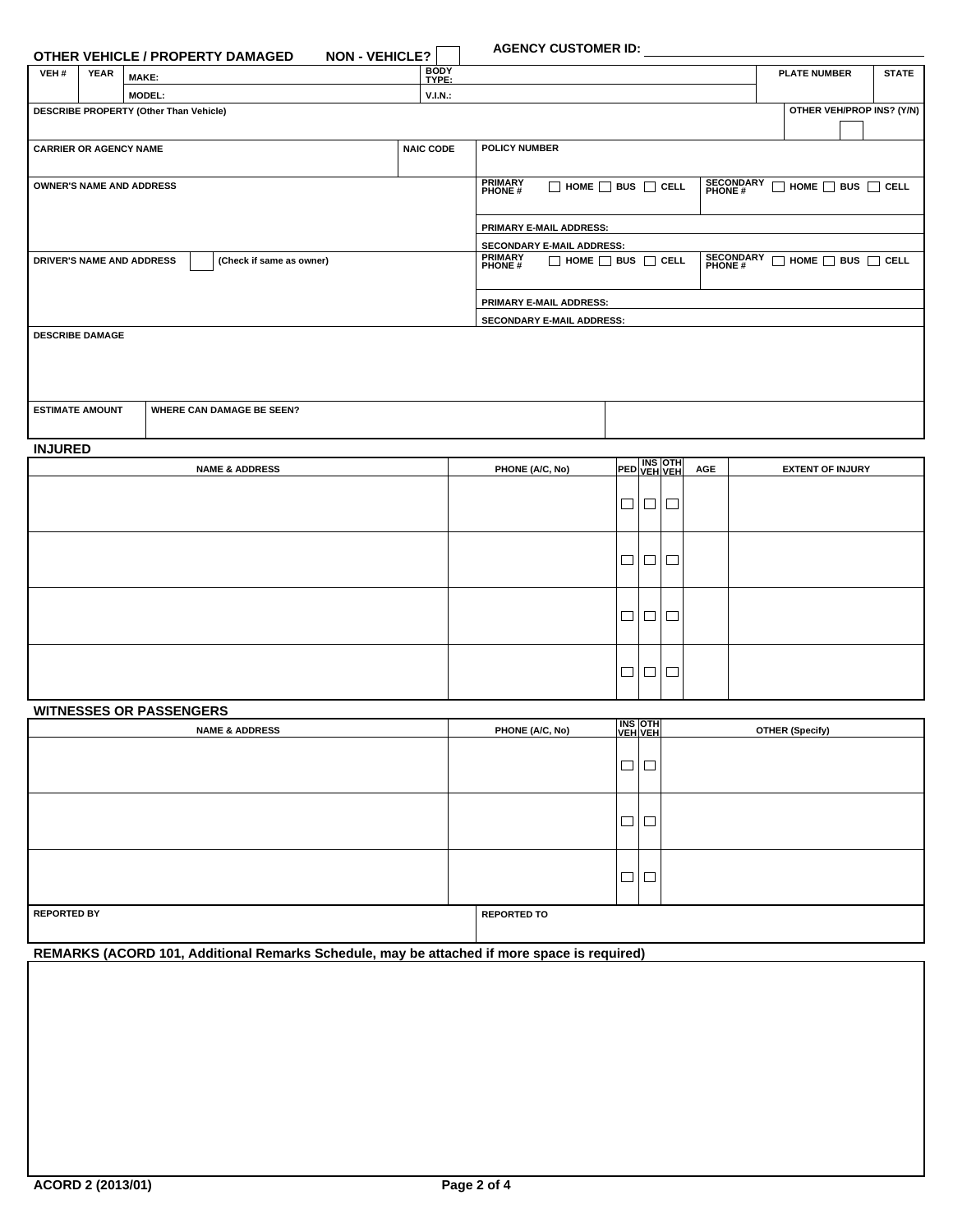# **AGENCY CUSTOMER ID:**

|      |                               | <b>OTHER VEHICLE / PROPERTY DAMAGED</b><br><b>NON - VEHICLE?</b> |                      |                                                                                                                                             |  |  |  |  |  |  |  |
|------|-------------------------------|------------------------------------------------------------------|----------------------|---------------------------------------------------------------------------------------------------------------------------------------------|--|--|--|--|--|--|--|
| VEH# | <b>YEAR</b>                   | <b>MAKE:</b>                                                     | <b>BODY</b><br>TYPE: | <b>STATE</b><br><b>PLATE NUMBER</b>                                                                                                         |  |  |  |  |  |  |  |
|      |                               | <b>MODEL:</b>                                                    | V.I.N.               |                                                                                                                                             |  |  |  |  |  |  |  |
|      |                               | DESCRIBE PROPERTY (Other Than Vehicle)                           |                      | OTHER VEH/PROP INS? (Y/N)                                                                                                                   |  |  |  |  |  |  |  |
|      | <b>CARRIER OR AGENCY NAME</b> |                                                                  | <b>NAIC CODE</b>     | <b>POLICY NUMBER</b>                                                                                                                        |  |  |  |  |  |  |  |
|      |                               | <b>OWNER'S NAME AND ADDRESS</b>                                  |                      | <b>PRIMARY</b><br>PHONE #<br><b>SECONDARY</b><br>PHONE #<br>$\Box$ home $\Box$ bus $\Box$ cell<br>$\Box$ home $\Box$ bus  <br>$\sqcap$ cell |  |  |  |  |  |  |  |
|      |                               |                                                                  |                      | <b>PRIMARY E-MAIL ADDRESS:</b>                                                                                                              |  |  |  |  |  |  |  |
|      |                               |                                                                  |                      | SECONDARY E-MAIL ADDRESS:                                                                                                                   |  |  |  |  |  |  |  |
|      |                               | (Check if same as owner)<br><b>DRIVER'S NAME AND ADDRESS</b>     |                      | <b>SECONDARY</b><br>PHONE #<br><b>PRIMARY</b><br>PHONE#<br>$\Box$ HOME $\Box$ BUS $\Box$ CELL<br>$\Box$ home $\Box$ bus $\Box$ cell         |  |  |  |  |  |  |  |
|      |                               |                                                                  |                      | PRIMARY E-MAIL ADDRESS:                                                                                                                     |  |  |  |  |  |  |  |
|      |                               |                                                                  |                      | <b>SECONDARY E-MAIL ADDRESS:</b>                                                                                                            |  |  |  |  |  |  |  |
|      | <b>DESCRIBE DAMAGE</b>        |                                                                  |                      |                                                                                                                                             |  |  |  |  |  |  |  |
|      |                               |                                                                  |                      |                                                                                                                                             |  |  |  |  |  |  |  |
|      |                               |                                                                  |                      |                                                                                                                                             |  |  |  |  |  |  |  |
|      | <b>ESTIMATE AMOUNT</b>        | <b>WHERE CAN DAMAGE BE SEEN?</b>                                 |                      |                                                                                                                                             |  |  |  |  |  |  |  |
|      |                               |                                                                  |                      |                                                                                                                                             |  |  |  |  |  |  |  |

# **INJURED**

| <b>NAME &amp; ADDRESS</b> | PHONE (A/C, No) |                 | PED VEH VEH | AGE | <b>EXTENT OF INJURY</b> |
|---------------------------|-----------------|-----------------|-------------|-----|-------------------------|
|                           |                 | 000             |             |     |                         |
|                           |                 | 000             |             |     |                         |
|                           |                 |                 | 000         |     |                         |
|                           |                 | $\Box   \Box  $ | ∣−          |     |                         |

| <b>WITNESSES OR PASSENGERS</b> |                    |                |               |                        |  |  |  |  |  |
|--------------------------------|--------------------|----------------|---------------|------------------------|--|--|--|--|--|
| <b>NAME &amp; ADDRESS</b>      | PHONE (A/C, No)    | <b>INS OTH</b> |               | <b>OTHER (Specify)</b> |  |  |  |  |  |
|                                |                    |                | $\Box$        |                        |  |  |  |  |  |
|                                |                    |                | $\Box$ $\Box$ |                        |  |  |  |  |  |
|                                |                    |                | $\Box$        |                        |  |  |  |  |  |
| <b>REPORTED BY</b>             | <b>REPORTED TO</b> |                |               |                        |  |  |  |  |  |

**REMARKS (ACORD 101, Additional Remarks Schedule, may be attached if more space is required)**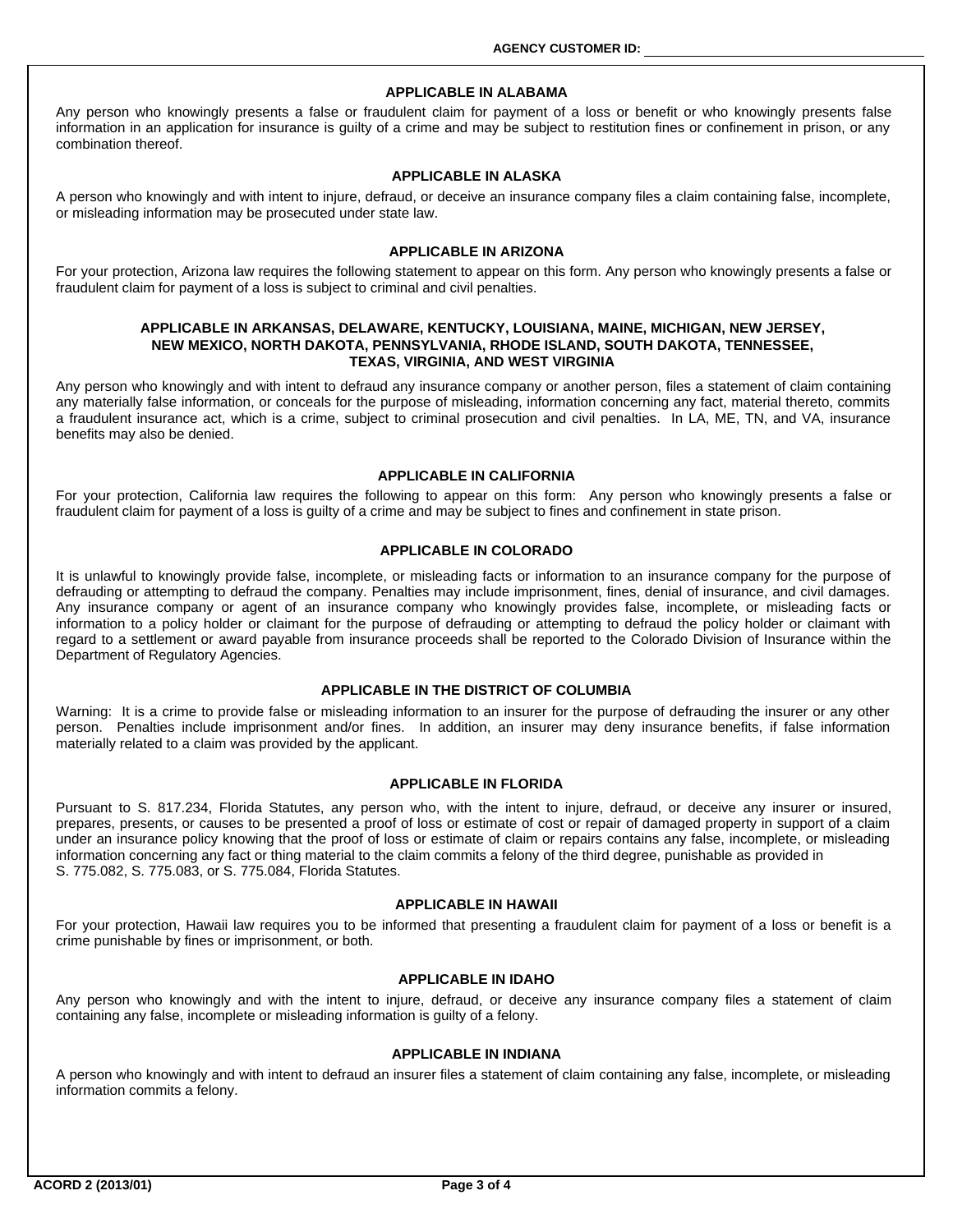# **APPLICABLE IN ALABAMA**

Any person who knowingly presents a false or fraudulent claim for payment of a loss or benefit or who knowingly presents false information in an application for insurance is guilty of a crime and may be subject to restitution fines or confinement in prison, or any combination thereof.

# **APPLICABLE IN ALASKA**

A person who knowingly and with intent to injure, defraud, or deceive an insurance company files a claim containing false, incomplete, or misleading information may be prosecuted under state law.

# **APPLICABLE IN ARIZONA**

For your protection, Arizona law requires the following statement to appear on this form. Any person who knowingly presents a false or fraudulent claim for payment of a loss is subject to criminal and civil penalties.

#### **APPLICABLE IN ARKANSAS, DELAWARE, KENTUCKY, LOUISIANA, MAINE, MICHIGAN, NEW JERSEY, NEW MEXICO, NORTH DAKOTA, PENNSYLVANIA, RHODE ISLAND, SOUTH DAKOTA, TENNESSEE, TEXAS, VIRGINIA, AND WEST VIRGINIA**

Any person who knowingly and with intent to defraud any insurance company or another person, files a statement of claim containing any materially false information, or conceals for the purpose of misleading, information concerning any fact, material thereto, commits a fraudulent insurance act, which is a crime, subject to criminal prosecution and civil penalties. In LA, ME, TN, and VA, insurance benefits may also be denied.

#### **APPLICABLE IN CALIFORNIA**

For your protection, California law requires the following to appear on this form: Any person who knowingly presents a false or fraudulent claim for payment of a loss is guilty of a crime and may be subject to fines and confinement in state prison.

#### **APPLICABLE IN COLORADO**

It is unlawful to knowingly provide false, incomplete, or misleading facts or information to an insurance company for the purpose of defrauding or attempting to defraud the company. Penalties may include imprisonment, fines, denial of insurance, and civil damages. Any insurance company or agent of an insurance company who knowingly provides false, incomplete, or misleading facts or information to a policy holder or claimant for the purpose of defrauding or attempting to defraud the policy holder or claimant with regard to a settlement or award payable from insurance proceeds shall be reported to the Colorado Division of Insurance within the Department of Regulatory Agencies.

#### **APPLICABLE IN THE DISTRICT OF COLUMBIA**

Warning: It is a crime to provide false or misleading information to an insurer for the purpose of defrauding the insurer or any other person. Penalties include imprisonment and/or fines. In addition, an insurer may deny insurance benefits, if false information materially related to a claim was provided by the applicant.

#### **APPLICABLE IN FLORIDA**

Pursuant to S. 817.234, Florida Statutes, any person who, with the intent to injure, defraud, or deceive any insurer or insured, prepares, presents, or causes to be presented a proof of loss or estimate of cost or repair of damaged property in support of a claim under an insurance policy knowing that the proof of loss or estimate of claim or repairs contains any false, incomplete, or misleading information concerning any fact or thing material to the claim commits a felony of the third degree, punishable as provided in S. 775.082, S. 775.083, or S. 775.084, Florida Statutes.

# **APPLICABLE IN HAWAII**

For your protection, Hawaii law requires you to be informed that presenting a fraudulent claim for payment of a loss or benefit is a crime punishable by fines or imprisonment, or both.

#### **APPLICABLE IN IDAHO**

Any person who knowingly and with the intent to injure, defraud, or deceive any insurance company files a statement of claim containing any false, incomplete or misleading information is guilty of a felony.

# **APPLICABLE IN INDIANA**

A person who knowingly and with intent to defraud an insurer files a statement of claim containing any false, incomplete, or misleading information commits a felony.